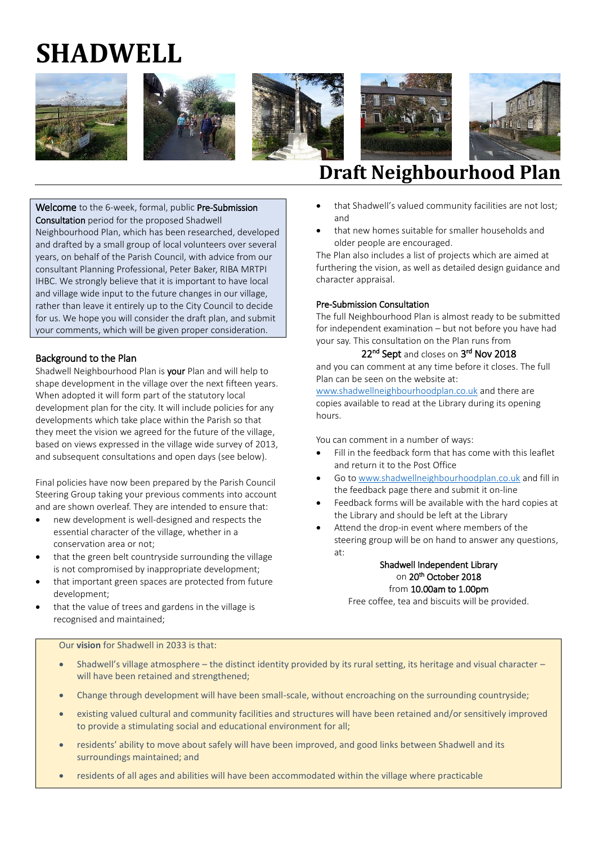# **SHADWELL**











# **Draft Neighbourhood Plan**

Welcome to the 6-week, formal, public Pre-Submission Consultation period for the proposed Shadwell Neighbourhood Plan, which has been researched, developed and drafted by a small group of local volunteers over several years, on behalf of the Parish Council, with advice from our consultant Planning Professional, Peter Baker, RIBA MRTPI IHBC. We strongly believe that it is important to have local and village wide input to the future changes in our village, rather than leave it entirely up to the City Council to decide for us. We hope you will consider the draft plan, and submit your comments, which will be given proper consideration.

# Background to the Plan

Shadwell Neighbourhood Plan is **your** Plan and will help to shape development in the village over the next fifteen years. When adopted it will form part of the statutory local development plan for the city. It will include policies for any developments which take place within the Parish so that they meet the vision we agreed for the future of the village, based on views expressed in the village wide survey of 2013, and subsequent consultations and open days (see below).

Final policies have now been prepared by the Parish Council Steering Group taking your previous comments into account and are shown overleaf. They are intended to ensure that:

- new development is well-designed and respects the essential character of the village, whether in a conservation area or not;
- that the green belt countryside surrounding the village is not compromised by inappropriate development;
- that important green spaces are protected from future development;
- that the value of trees and gardens in the village is recognised and maintained;
- that Shadwell's valued community facilities are not lost; and
- that new homes suitable for smaller households and older people are encouraged.

The Plan also includes a list of projects which are aimed at furthering the vision, as well as detailed design guidance and character appraisal.

### Pre-Submission Consultation

The full Neighbourhood Plan is almost ready to be submitted for independent examination – but not before you have had your say. This consultation on the Plan runs from

## 22<sup>nd</sup> Sept and closes on 3<sup>rd</sup> Nov 2018

and you can comment at any time before it closes. The full Plan can be seen on the website at:

[www.shadwellneighbourhoodplan.co.uk](http://www.shadwellneighbourhoodplan.co.uk/) and there are copies available to read at the Library during its opening hours.

You can comment in a number of ways:

- Fill in the feedback form that has come with this leaflet and return it to the Post Office
- Go to [www.shadwellneighbourhoodplan.co.uk](http://www.shadwellneighbourhoodplan.co.uk/) and fill in the feedback page there and submit it on-line
- Feedback forms will be available with the hard copies at the Library and should be left at the Library
- Attend the drop-in event where members of the steering group will be on hand to answer any questions, at:

# Shadwell Independent Library on 20<sup>th</sup> October 2018 from 10.00am to 1.00pm

Free coffee, tea and biscuits will be provided.

Our **vision** for Shadwell in 2033 is that:

- Shadwell's village atmosphere the distinct identity provided by its rural setting, its heritage and visual character will have been retained and strengthened;
- Change through development will have been small-scale, without encroaching on the surrounding countryside;
- existing valued cultural and community facilities and structures will have been retained and/or sensitively improved to provide a stimulating social and educational environment for all;
- residents' ability to move about safely will have been improved, and good links between Shadwell and its surroundings maintained; and
- residents of all ages and abilities will have been accommodated within the village where practicable